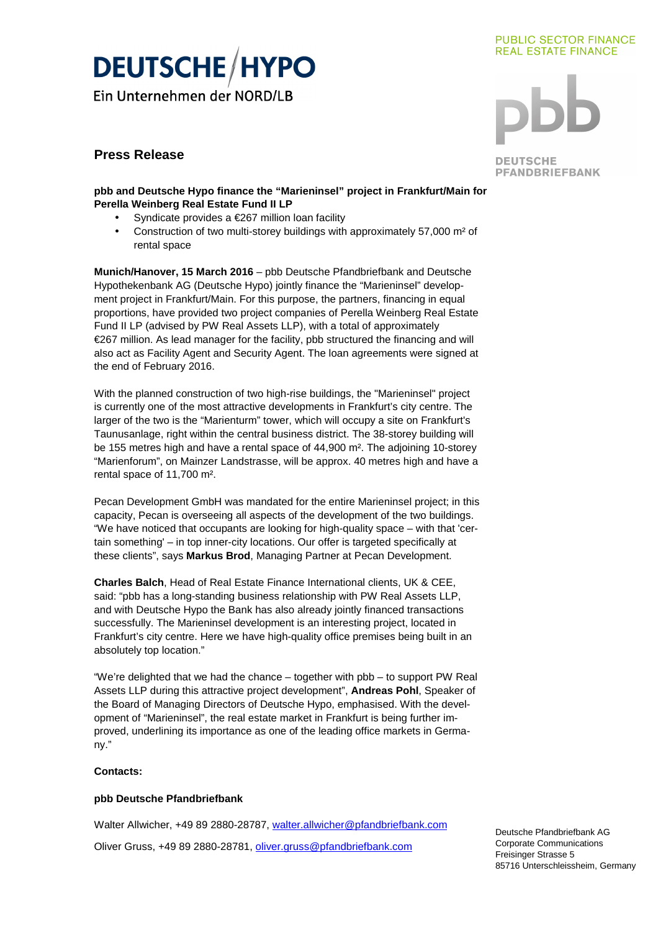# **DEUTSCHE/HYPO**

Ein Unternehmen der NORD/LB

## **Press Release**

#### **PUBLIC SECTOR FINANCE REAL ESTATE FINANCE**



**DEUTSCHE PFANDBRIEFBANK** 

### **pbb and Deutsche Hypo finance the "Marieninsel" project in Frankfurt/Main for Perella Weinberg Real Estate Fund II LP**

- Syndicate provides a €267 million loan facility
- Construction of two multi-storey buildings with approximately 57,000 m<sup>2</sup> of rental space

**Munich/Hanover, 15 March 2016** – pbb Deutsche Pfandbriefbank and Deutsche Hypothekenbank AG (Deutsche Hypo) jointly finance the "Marieninsel" development project in Frankfurt/Main. For this purpose, the partners, financing in equal proportions, have provided two project companies of Perella Weinberg Real Estate Fund II LP (advised by PW Real Assets LLP), with a total of approximately €267 million. As lead manager for the facility, pbb structured the financing and will also act as Facility Agent and Security Agent. The loan agreements were signed at the end of February 2016.

With the planned construction of two high-rise buildings, the "Marieninsel" project is currently one of the most attractive developments in Frankfurt's city centre. The larger of the two is the "Marienturm" tower, which will occupy a site on Frankfurt's Taunusanlage, right within the central business district. The 38-storey building will be 155 metres high and have a rental space of 44,900 m<sup>2</sup>. The adjoining 10-storey "Marienforum", on Mainzer Landstrasse, will be approx. 40 metres high and have a rental space of 11,700 m².

Pecan Development GmbH was mandated for the entire Marieninsel project; in this capacity, Pecan is overseeing all aspects of the development of the two buildings. "We have noticed that occupants are looking for high-quality space – with that 'certain something' – in top inner-city locations. Our offer is targeted specifically at these clients", says **Markus Brod**, Managing Partner at Pecan Development.

**Charles Balch**, Head of Real Estate Finance International clients, UK & CEE, said: "pbb has a long-standing business relationship with PW Real Assets LLP, and with Deutsche Hypo the Bank has also already jointly financed transactions successfully. The Marieninsel development is an interesting project, located in Frankfurt's city centre. Here we have high-quality office premises being built in an absolutely top location."

"We're delighted that we had the chance – together with pbb – to support PW Real Assets LLP during this attractive project development", **Andreas Pohl**, Speaker of the Board of Managing Directors of Deutsche Hypo, emphasised. With the development of "Marieninsel", the real estate market in Frankfurt is being further improved, underlining its importance as one of the leading office markets in Germany."

## **Contacts:**

## **pbb Deutsche Pfandbriefbank**

Walter Allwicher, +49 89 2880-28787, walter.allwicher@pfandbriefbank.com Oliver Gruss, +49 89 2880-28781, oliver.gruss@pfandbriefbank.com

Deutsche Pfandbriefbank AG Corporate Communications Freisinger Strasse 5 85716 Unterschleissheim, Germany